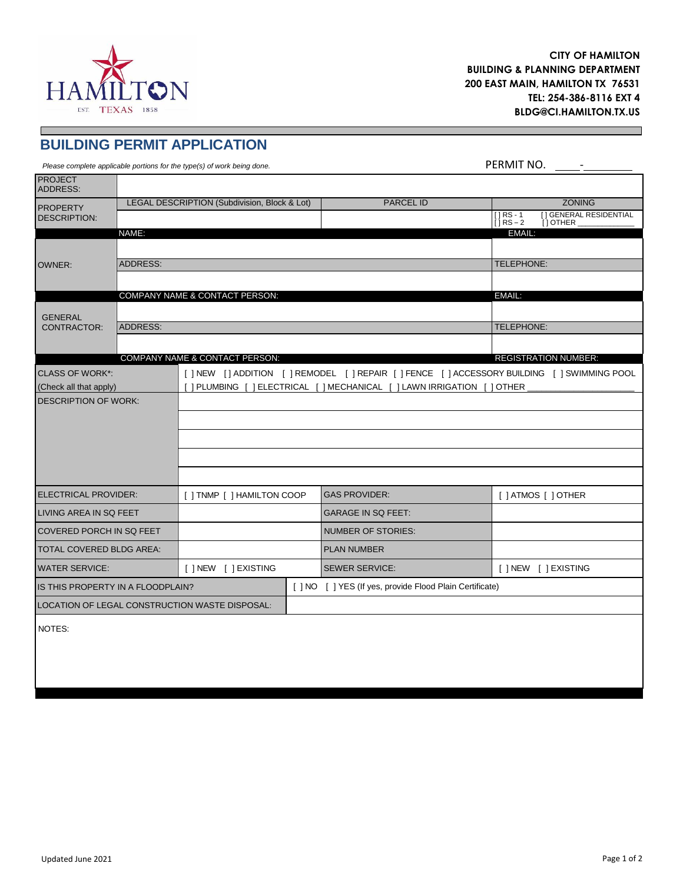

Г

٦

## **BUILDING PERMIT APPLICATION**

| Please complete applicable portions for the type(s) of work being done. |  |                                                          | PERMIT NO.                                                                                                                                                                 |
|-------------------------------------------------------------------------|--|----------------------------------------------------------|----------------------------------------------------------------------------------------------------------------------------------------------------------------------------|
|                                                                         |  |                                                          |                                                                                                                                                                            |
|                                                                         |  | <b>PARCEL ID</b>                                         | <b>ZONING</b>                                                                                                                                                              |
|                                                                         |  |                                                          | [ ] GENERAL RESIDENTIAL<br>$[$   RS - 1<br>$1$ RS - 2<br>[] OTHER                                                                                                          |
|                                                                         |  |                                                          | EMAIL:                                                                                                                                                                     |
|                                                                         |  |                                                          |                                                                                                                                                                            |
|                                                                         |  |                                                          | TELEPHONE:                                                                                                                                                                 |
|                                                                         |  |                                                          |                                                                                                                                                                            |
| COMPANY NAME & CONTACT PERSON:                                          |  |                                                          | EMAIL:                                                                                                                                                                     |
|                                                                         |  |                                                          |                                                                                                                                                                            |
|                                                                         |  |                                                          | TELEPHONE:                                                                                                                                                                 |
|                                                                         |  |                                                          |                                                                                                                                                                            |
| COMPANY NAME & CONTACT PERSON:                                          |  |                                                          | <b>REGISTRATION NUMBER:</b>                                                                                                                                                |
|                                                                         |  |                                                          |                                                                                                                                                                            |
|                                                                         |  |                                                          |                                                                                                                                                                            |
|                                                                         |  |                                                          |                                                                                                                                                                            |
|                                                                         |  |                                                          |                                                                                                                                                                            |
|                                                                         |  |                                                          |                                                                                                                                                                            |
|                                                                         |  |                                                          |                                                                                                                                                                            |
|                                                                         |  |                                                          |                                                                                                                                                                            |
|                                                                         |  |                                                          |                                                                                                                                                                            |
| [ ] TNMP [ ] HAMILTON COOP                                              |  | <b>GAS PROVIDER:</b>                                     | [ ] ATMOS [ ] OTHER                                                                                                                                                        |
|                                                                         |  | <b>GARAGE IN SQ FEET:</b>                                |                                                                                                                                                                            |
|                                                                         |  | <b>NUMBER OF STORIES:</b>                                |                                                                                                                                                                            |
|                                                                         |  | <b>PLAN NUMBER</b>                                       |                                                                                                                                                                            |
| [ ] NEW [ ] EXISTING                                                    |  | <b>SEWER SERVICE:</b>                                    | [ ] NEW [ ] EXISTING                                                                                                                                                       |
|                                                                         |  |                                                          |                                                                                                                                                                            |
| IS THIS PROPERTY IN A FLOODPLAIN?                                       |  | [ ] NO [ ] YES (If yes, provide Flood Plain Certificate) |                                                                                                                                                                            |
| LOCATION OF LEGAL CONSTRUCTION WASTE DISPOSAL:                          |  |                                                          |                                                                                                                                                                            |
|                                                                         |  |                                                          |                                                                                                                                                                            |
|                                                                         |  |                                                          |                                                                                                                                                                            |
|                                                                         |  | LEGAL DESCRIPTION (Subdivision, Block & Lot)             | [ ] NEW [ ] ADDITION [ ] REMODEL [ ] REPAIR [ ] FENCE [ ] ACCESSORY BUILDING [ ] SWIMMING POOL<br>[ ] PLUMBING [ ] ELECTRICAL [ ] MECHANICAL [ ] LAWN IRRIGATION [ ] OTHER |